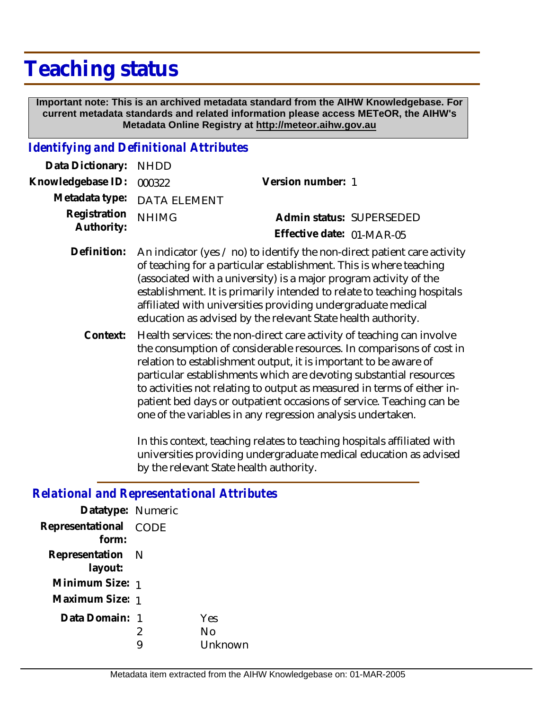# **Teaching status**

 **Important note: This is an archived metadata standard from the AIHW Knowledgebase. For current metadata standards and related information please access METeOR, the AIHW's Metadata Online Registry at http://meteor.aihw.gov.au**

#### *Identifying and Definitional Attributes*

| Data Dictionary: NHDD            |                                                                                      |                           |                          |
|----------------------------------|--------------------------------------------------------------------------------------|---------------------------|--------------------------|
| Knowledgebase ID: 000322         |                                                                                      | Version number: 1         |                          |
|                                  | Metadata type: DATA ELEMENT                                                          |                           |                          |
| Registration NHIMG<br>Authority: |                                                                                      |                           | Admin status: SUPERSEDED |
|                                  |                                                                                      | Effective date: 01-MAR-05 |                          |
|                                  | Definition: An indicator (yes / no) to identify the non-direct patient care activity |                           |                          |

- of teaching for a particular establishment. This is where teaching (associated with a university) is a major program activity of the establishment. It is primarily intended to relate to teaching hospitals affiliated with universities providing undergraduate medical education as advised by the relevant State health authority.
	- Health services: the non-direct care activity of teaching can involve the consumption of considerable resources. In comparisons of cost in relation to establishment output, it is important to be aware of particular establishments which are devoting substantial resources to activities not relating to output as measured in terms of either inpatient bed days or outpatient occasions of service. Teaching can be one of the variables in any regression analysis undertaken. **Context:**

In this context, teaching relates to teaching hospitals affiliated with universities providing undergraduate medical education as advised by the relevant State health authority.

| Relativilat and Representativilat Atti Ibut |        |                      |  |  |
|---------------------------------------------|--------|----------------------|--|--|
| Datatype: Numeric                           |        |                      |  |  |
| Representational CODE<br>form:              |        |                      |  |  |
| Representation N<br>layout:                 |        |                      |  |  |
| Minimum Size: 1                             |        |                      |  |  |
| Maximum Size: 1                             |        |                      |  |  |
| Data Domain: 1                              | 2<br>9 | Yes<br>No<br>Unknown |  |  |
|                                             |        |                      |  |  |

# *Relational and Representational Attributes*